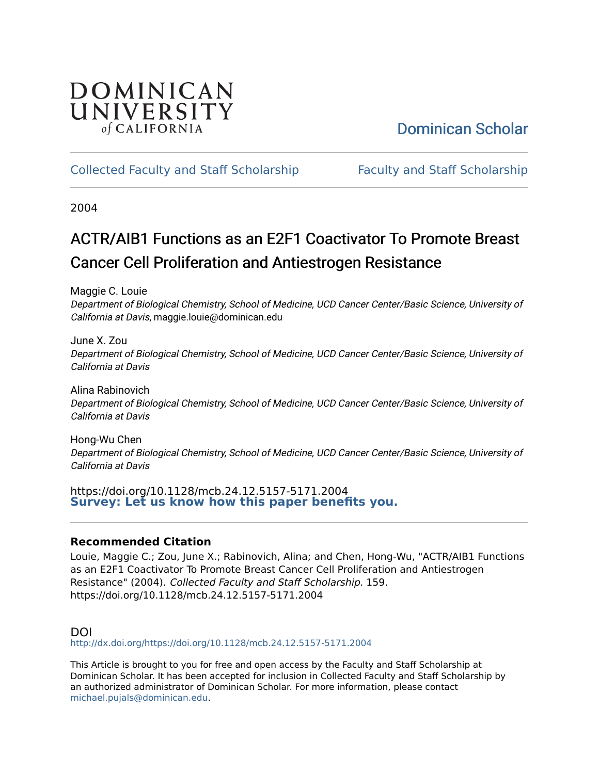# DOMINICAN UNIVERSITY of CALIFORNIA

# [Dominican Scholar](https://scholar.dominican.edu/)

## [Collected Faculty and Staff Scholarship](https://scholar.dominican.edu/all-faculty) [Faculty and Staff Scholarship](https://scholar.dominican.edu/faculty-scholarship)

2004

# ACTR/AIB1 Functions as an E2F1 Coactivator To Promote Breast Cancer Cell Proliferation and Antiestrogen Resistance

Maggie C. Louie

Department of Biological Chemistry, School of Medicine, UCD Cancer Center/Basic Science, University of California at Davis, maggie.louie@dominican.edu

June X. Zou Department of Biological Chemistry, School of Medicine, UCD Cancer Center/Basic Science, University of California at Davis

Alina Rabinovich Department of Biological Chemistry, School of Medicine, UCD Cancer Center/Basic Science, University of California at Davis

Hong-Wu Chen Department of Biological Chemistry, School of Medicine, UCD Cancer Center/Basic Science, University of California at Davis

https://doi.org/10.1128/mcb.24.12.5157-5171.2004 **[Survey: Let us know how this paper benefits you.](https://dominican.libwizard.com/dominican-scholar-feedback)** 

## **Recommended Citation**

Louie, Maggie C.; Zou, June X.; Rabinovich, Alina; and Chen, Hong-Wu, "ACTR/AIB1 Functions as an E2F1 Coactivator To Promote Breast Cancer Cell Proliferation and Antiestrogen Resistance" (2004). Collected Faculty and Staff Scholarship. 159. https://doi.org/10.1128/mcb.24.12.5157-5171.2004

## DOI

<http://dx.doi.org/https://doi.org/10.1128/mcb.24.12.5157-5171.2004>

This Article is brought to you for free and open access by the Faculty and Staff Scholarship at Dominican Scholar. It has been accepted for inclusion in Collected Faculty and Staff Scholarship by an authorized administrator of Dominican Scholar. For more information, please contact [michael.pujals@dominican.edu.](mailto:michael.pujals@dominican.edu)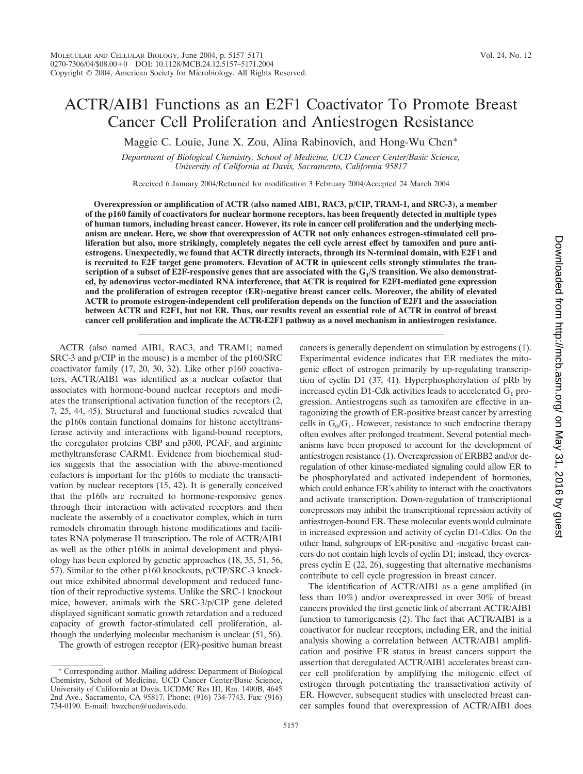## ACTR/AIB1 Functions as an E2F1 Coactivator To Promote Breast Cancer Cell Proliferation and Antiestrogen Resistance

Maggie C. Louie, June X. Zou, Alina Rabinovich, and Hong-Wu Chen\*

*Department of Biological Chemistry, School of Medicine, UCD Cancer Center/Basic Science, University of California at Davis, Sacramento, California 95817*

Received 6 January 2004/Returned for modification 3 February 2004/Accepted 24 March 2004

**Overexpression or amplification of ACTR (also named AIB1, RAC3, p/CIP, TRAM-1, and SRC-3), a member of the p160 family of coactivators for nuclear hormone receptors, has been frequently detected in multiple types of human tumors, including breast cancer. However, its role in cancer cell proliferation and the underlying mechanism are unclear. Here, we show that overexpression of ACTR not only enhances estrogen-stimulated cell proliferation but also, more strikingly, completely negates the cell cycle arrest effect by tamoxifen and pure antiestrogens. Unexpectedly, we found that ACTR directly interacts, through its N-terminal domain, with E2F1 and is recruited to E2F target gene promoters. Elevation of ACTR in quiescent cells strongly stimulates the tran**scription of a subset of E2F-responsive genes that are associated with the G<sub>1</sub>/S transition. We also demonstrat**ed, by adenovirus vector-mediated RNA interference, that ACTR is required for E2F1-mediated gene expression and the proliferation of estrogen receptor (ER)-negative breast cancer cells. Moreover, the ability of elevated ACTR to promote estrogen-independent cell proliferation depends on the function of E2F1 and the association between ACTR and E2F1, but not ER. Thus, our results reveal an essential role of ACTR in control of breast cancer cell proliferation and implicate the ACTR-E2F1 pathway as a novel mechanism in antiestrogen resistance.**

ACTR (also named AIB1, RAC3, and TRAM1; named SRC-3 and p/CIP in the mouse) is a member of the p160/SRC coactivator family (17, 20, 30, 32). Like other p160 coactivators, ACTR/AIB1 was identified as a nuclear cofactor that associates with hormone-bound nuclear receptors and mediates the transcriptional activation function of the receptors (2, 7, 25, 44, 45). Structural and functional studies revealed that the p160s contain functional domains for histone acetyltransferase activity and interactions with ligand-bound receptors, the coregulator proteins CBP and p300, PCAF, and arginine methyltransferase CARM1. Evidence from biochemical studies suggests that the association with the above-mentioned cofactors is important for the p160s to mediate the transactivation by nuclear receptors (15, 42). It is generally conceived that the p160s are recruited to hormone-responsive genes through their interaction with activated receptors and then nucleate the assembly of a coactivator complex, which in turn remodels chromatin through histone modifications and facilitates RNA polymerase II transcription. The role of ACTR/AIB1 as well as the other p160s in animal development and physiology has been explored by genetic approaches (18, 35, 51, 56, 57). Similar to the other p160 knockouts, p/CIP/SRC-3 knockout mice exhibited abnormal development and reduced function of their reproductive systems. Unlike the SRC-1 knockout mice, however, animals with the SRC-3/p/CIP gene deleted displayed significant somatic growth retardation and a reduced capacity of growth factor-stimulated cell proliferation, although the underlying molecular mechanism is unclear (51, 56).

The growth of estrogen receptor (ER)-positive human breast

cancers is generally dependent on stimulation by estrogens (1). Experimental evidence indicates that ER mediates the mitogenic effect of estrogen primarily by up-regulating transcription of cyclin D1 (37, 41). Hyperphosphorylation of pRb by increased cyclin D1-Cdk activities leads to accelerated  $G_1$  progression. Antiestrogens such as tamoxifen are effective in antagonizing the growth of ER-positive breast cancer by arresting cells in  $G_0/G_1$ . However, resistance to such endocrine therapy often evolves after prolonged treatment. Several potential mechanisms have been proposed to account for the development of antiestrogen resistance (1). Overexpression of ERBB2 and/or deregulation of other kinase-mediated signaling could allow ER to be phosphorylated and activated independent of hormones, which could enhance ER's ability to interact with the coactivators and activate transcription. Down-regulation of transcriptional corepressors may inhibit the transcriptional repression activity of antiestrogen-bound ER. These molecular events would culminate in increased expression and activity of cyclin D1-Cdks. On the other hand, subgroups of ER-positive and -negative breast cancers do not contain high levels of cyclin D1; instead, they overexpress cyclin E (22, 26), suggesting that alternative mechanisms contribute to cell cycle progression in breast cancer.

The identification of ACTR/AIB1 as a gene amplified (in less than 10%) and/or overexpressed in over 30% of breast cancers provided the first genetic link of aberrant ACTR/AIB1 function to tumorigenesis (2). The fact that ACTR/AIB1 is a coactivator for nuclear receptors, including ER, and the initial analysis showing a correlation between ACTR/AIB1 amplification and positive ER status in breast cancers support the assertion that deregulated ACTR/AIB1 accelerates breast cancer cell proliferation by amplifying the mitogenic effect of estrogen through potentiating the transactivation activity of ER. However, subsequent studies with unselected breast cancer samples found that overexpression of ACTR/AIB1 does

<sup>\*</sup> Corresponding author. Mailing address: Department of Biological Chemistry, School of Medicine, UCD Cancer Center/Basic Science, University of California at Davis, UCDMC Res III, Rm. 1400B, 4645 2nd Ave., Sacramento, CA 95817. Phone: (916) 734-7743. Fax: (916) 734-0190. E-mail: hwzchen@ucdavis.edu.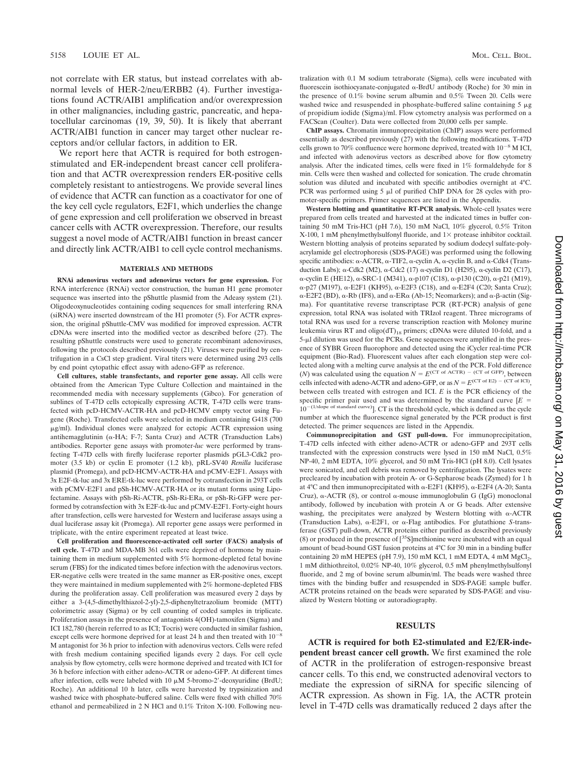not correlate with ER status, but instead correlates with abnormal levels of HER-2/neu/ERBB2 (4). Further investigations found ACTR/AIB1 amplification and/or overexpression in other malignancies, including gastric, pancreatic, and hepatocellular carcinomas (19, 39, 50). It is likely that aberrant ACTR/AIB1 function in cancer may target other nuclear receptors and/or cellular factors, in addition to ER.

We report here that ACTR is required for both estrogenstimulated and ER-independent breast cancer cell proliferation and that ACTR overexpression renders ER-positive cells completely resistant to antiestrogens. We provide several lines of evidence that ACTR can function as a coactivator for one of the key cell cycle regulators, E2F1, which underlies the change of gene expression and cell proliferation we observed in breast cancer cells with ACTR overexpression. Therefore, our results suggest a novel mode of ACTR/AIB1 function in breast cancer and directly link ACTR/AIB1 to cell cycle control mechanisms.

#### **MATERIALS AND METHODS**

**RNAi adenovirus vectors and adenovirus vectors for gene expression.** For RNA interference (RNAi) vector construction, the human H1 gene promoter sequence was inserted into the pShuttle plasmid from the Adeasy system (21). Oligodeoxynucleotides containing coding sequences for small interfering RNA (siRNA) were inserted downstream of the H1 promoter (5). For ACTR expression, the original pShuttle-CMV was modified for improved expression. ACTR cDNAs were inserted into the modified vector as described before (27). The resulting pShuttle constructs were used to generate recombinant adenoviruses, following the protocols described previously (21). Viruses were purified by centrifugation in a CsCl step gradient. Viral titers were determined using 293 cells by end point cytopathic effect assay with adeno-GFP as reference.

**Cell cultures, stable transfectants, and reporter gene assay.** All cells were obtained from the American Type Culture Collection and maintained in the recommended media with necessary supplements (Gibco). For generation of sublines of T-47D cells ectopically expressing ACTR, T-47D cells were transfected with pcD-HCMV-ACTR-HA and pcD-HCMV empty vector using Fugene (Roche). Transfected cells were selected in medium containing G418 (700  $\mu$ g/ml). Individual clones were analyzed for ectopic ACTR expression using antihemagglutinin ( $\alpha$ -HA; F-7; Santa Cruz) and ACTR (Transduction Labs) antibodies. Reporter gene assays with promoter-*luc* were performed by transfecting T-47D cells with firefly luciferase reporter plasmids pGL3-Cdk2 promoter (3.5 kb) or cyclin E promoter (1.2 kb), pRL-SV40 *Renilla* luciferase plasmid (Promega), and pcD-HCMV-ACTR-HA and pCMV-E2F1. Assays with 3x E2F-tk-luc and 3x ERE-tk-luc were performed by cotransfection in 293T cells with pCMV-E2F1 and pSh-HCMV-ACTR-HA or its mutant forms using Lipofectamine. Assays with pSh-Ri-ACTR, pSh-Ri-ERa, or pSh-Ri-GFP were performed by cotransfection with 3x E2F-tk-luc and pCMV-E2F1. Forty-eight hours after transfection, cells were harvested for Western and luciferase assays using a dual luciferase assay kit (Promega). All reporter gene assays were performed in triplicate, with the entire experiment repeated at least twice.

**Cell proliferation and fluorescence-activated cell sorter (FACS) analysis of cell cycle.** T-47D and MDA-MB 361 cells were deprived of hormone by maintaining them in medium supplemented with 5% hormone-depleted fetal bovine serum (FBS) for the indicated times before infection with the adenovirus vectors. ER-negative cells were treated in the same manner as ER-positive ones, except they were maintained in medium supplemented with 2% hormone-depleted FBS during the proliferation assay. Cell proliferation was measured every 2 days by either a 3-(4,5-dimethylthiazol-2-yl)-2,5-diphenyltetrazolium bromide (MTT) colorimetric assay (Sigma) or by cell counting of coded samples in triplicate. Proliferation assays in the presence of antagonists 4(OH)-tamoxifen (Sigma) and ICI 182,780 (herein referred to as ICI; Tocris) were conducted in similar fashion, except cells were hormone deprived for at least 24 h and then treated with  $10^{-8}$ M antagonist for 36 h prior to infection with adenovirus vectors. Cells were refed with fresh medium containing specified ligands every 2 days. For cell cycle analysis by flow cytometry, cells were hormone deprived and treated with ICI for 36 h before infection with either adeno-ACTR or adeno-GFP. At different times after infection, cells were labeled with  $10 \mu M$  5-bromo-2'-deoxyuridine (BrdU; Roche). An additional 10 h later, cells were harvested by trypsinization and washed twice with phosphate-buffered saline. Cells were fixed with chilled 70% ethanol and permeabilized in 2 N HCl and 0.1% Triton X-100. Following neutralization with 0.1 M sodium tetraborate (Sigma), cells were incubated with fluorescein isothiocyanate-conjugated  $\alpha$ -BrdU antibody (Roche) for 30 min in the presence of 0.1% bovine serum albumin and 0.5% Tween 20. Cells were washed twice and resuspended in phosphate-buffered saline containing  $5 \mu$ g of propidium iodide (Sigma)/ml. Flow cytometry analysis was performed on a FACScan (Coulter). Data were collected from 20,000 cells per sample.

**ChIP assays.** Chromatin immunoprecipitation (ChIP) assays were performed essentially as described previously (27) with the following modifications. T-47D cells grown to 70% confluence were hormone deprived, treated with  $10^{-8}$  M ICI, and infected with adenovirus vectors as described above for flow cytometry analysis. After the indicated times, cells were fixed in 1% formaldehyde for 8 min. Cells were then washed and collected for sonication. The crude chromatin solution was diluted and incubated with specific antibodies overnight at 4°C. PCR was performed using  $5 \mu l$  of purified ChIP DNA for 28 cycles with promoter-specific primers. Primer sequences are listed in the Appendix.

**Western blotting and quantitative RT-PCR analysis.** Whole-cell lysates were prepared from cells treated and harvested at the indicated times in buffer containing 50 mM Tris-HCl (pH 7.6), 150 mM NaCl, 10% glycerol, 0.5% Triton X-100, 1 mM phenylmethylsulfonyl fluoride, and  $1\times$  protease inhibitor cocktail. Western blotting analysis of proteins separated by sodium dodecyl sulfate-polyacrylamide gel electrophoresis (SDS-PAGE) was performed using the following specific antibodies:  $\alpha$ -ACTR,  $\alpha$ -TIF2,  $\alpha$ -cyclin A,  $\alpha$ -cyclin B, and  $\alpha$ -Cdk4 (Transduction Labs);  $\alpha$ -Cdk2 (M2),  $\alpha$ -Cdc2 (17)  $\alpha$ -cyclin D1 (H295),  $\alpha$ -cyclin D2 (C17),  $\alpha$ -cyclin E (HE12),  $\alpha$ -SRC-1 (M341),  $\alpha$ -p107 (C18),  $\alpha$ -p130 (C20),  $\alpha$ -p21 (M19),  $\alpha$ -p27 (M197),  $\alpha$ -E2F1 (KH95),  $\alpha$ -E2F3 (C18), and  $\alpha$ -E2F4 (C20; Santa Cruz);  $\alpha$ -E2F2 (BD),  $\alpha$ -Rb (IF8), and  $\alpha$ -ER $\alpha$  (Ab-15; Neomarkers); and  $\alpha$ - $\beta$ -actin (Sigma). For quantitative reverse transcriptase PCR (RT-PCR) analysis of gene expression, total RNA was isolated with TRIzol reagent. Three micrograms of total RNA was used for a reverse transcription reaction with Moloney murine leukemia virus RT and  $oligo(dT)_{18}$  primers; cDNAs were diluted 10-fold, and a 5--l dilution was used for the PCRs. Gene sequences were amplified in the presence of SYBR Green fluorophore and detected using the iCycler real-time PCR equipment (Bio-Rad). Fluorescent values after each elongation step were collected along with a melting curve analysis at the end of the PCR. Fold difference (*N*) was calculated using the equation  $N = E^{(CT) \text{ of } ACTR}$  – (CT of GFP), between cells infected with adeno-ACTR and adeno-GFP, or as  $N = E^{(CT \text{ of } EZ)}$  (CT of ICI). between cells treated with estrogen and ICI. *E* is the PCR efficiency of the specific primer pair used and was determined by the standard curve  $|E|$  $10^{-(1/\text{slope of standard curve})}$ . CT is the threshold cycle, which is defined as the cycle number at which the fluorescence signal generated by the PCR product is first detected. The primer sequences are listed in the Appendix.

**Coimmunoprecipitation and GST pull-down.** For immunoprecipitation, T-47D cells infected with either adeno-ACTR or adeno-GFP and 293T cells transfected with the expression constructs were lysed in 150 mM NaCl, 0.5% NP-40, 2 mM EDTA, 10% glycerol, and 50 mM Tris-HCl (pH 8.0). Cell lysates were sonicated, and cell debris was removed by centrifugation. The lysates were precleared by incubation with protein A- or G-Sepharose beads (Zymed) for 1 h at 4°C and then immunoprecipitated with  $\alpha$ -E2F1 (KH95),  $\alpha$ -E2F4 (A-20; Santa Cruz),  $\alpha$ -ACTR (8), or control  $\alpha$ -mouse immunoglobulin G (IgG) monoclonal antibody, followed by incubation with protein A or G beads. After extensive washing, the precipitates were analyzed by Western blotting with  $\alpha$ -ACTR (Transduction Labs),  $\alpha$ -E2F1, or  $\alpha$ -Flag antibodies. For glutathione *S*-transferase (GST) pull-down, ACTR proteins either purified as described previously  $(8)$  or produced in the presence of  $[35S]$ methionine were incubated with an equal amount of bead-bound GST fusion proteins at 4°C for 30 min in a binding buffer containing 20 mM HEPES (pH 7.9), 150 mM KCl, 1 mM EDTA, 4 mM  $MgCl<sub>2</sub>$ , 1 mM dithiothreitol, 0.02% NP-40, 10% glycerol, 0.5 mM phenylmethylsulfonyl fluoride, and 2 mg of bovine serum albumin/ml. The beads were washed three times with the binding buffer and resuspended in SDS-PAGE sample buffer. ACTR proteins retained on the beads were separated by SDS-PAGE and visualized by Western blotting or autoradiography.

#### **RESULTS**

**ACTR is required for both E2-stimulated and E2/ER-independent breast cancer cell growth.** We first examined the role of ACTR in the proliferation of estrogen-responsive breast cancer cells. To this end, we constructed adenoviral vectors to mediate the expression of siRNA for specific silencing of ACTR expression. As shown in Fig. 1A, the ACTR protein level in T-47D cells was dramatically reduced 2 days after the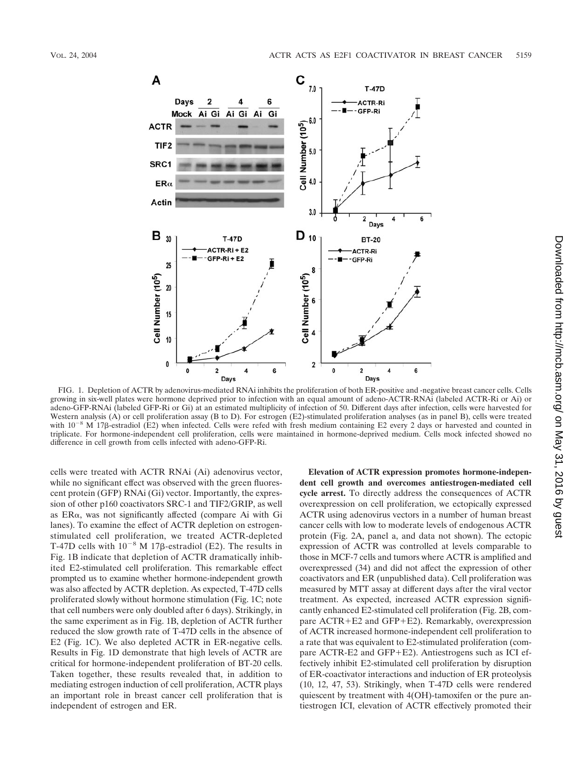

FIG. 1. Depletion of ACTR by adenovirus-mediated RNAi inhibits the proliferation of both ER-positive and -negative breast cancer cells. Cells growing in six-well plates were hormone deprived prior to infection with an equal amount of adeno-ACTR-RNAi (labeled ACTR-Ri or Ai) or adeno-GFP-RNAi (labeled GFP-Ri or Gi) at an estimated multiplicity of infection of 50. Different days after infection, cells were harvested for Western analysis (A) or cell proliferation assay (B to D). For estrogen (E2)-stimulated proliferation analyses (as in panel B), cells were treated with  $10^{-8}$  M 178-estradiol (E2) when infected. Cells were refed with fresh medium containing E2 every 2 days or harvested and counted in triplicate. For hormone-independent cell proliferation, cells were maintained in hormone-deprived medium. Cells mock infected showed no difference in cell growth from cells infected with adeno-GFP-Ri.

cells were treated with ACTR RNAi (Ai) adenovirus vector, while no significant effect was observed with the green fluorescent protein (GFP) RNAi (Gi) vector. Importantly, the expression of other p160 coactivators SRC-1 and TIF2/GRIP, as well as  $ER\alpha$ , was not significantly affected (compare Ai with Gi lanes). To examine the effect of ACTR depletion on estrogenstimulated cell proliferation, we treated ACTR-depleted T-47D cells with  $10^{-8}$  M 17 $\beta$ -estradiol (E2). The results in Fig. 1B indicate that depletion of ACTR dramatically inhibited E2-stimulated cell proliferation. This remarkable effect prompted us to examine whether hormone-independent growth was also affected by ACTR depletion. As expected, T-47D cells proliferated slowly without hormone stimulation (Fig. 1C; note that cell numbers were only doubled after 6 days). Strikingly, in the same experiment as in Fig. 1B, depletion of ACTR further reduced the slow growth rate of T-47D cells in the absence of E2 (Fig. 1C). We also depleted ACTR in ER-negative cells. Results in Fig. 1D demonstrate that high levels of ACTR are critical for hormone-independent proliferation of BT-20 cells. Taken together, these results revealed that, in addition to mediating estrogen induction of cell proliferation, ACTR plays an important role in breast cancer cell proliferation that is independent of estrogen and ER.

**Elevation of ACTR expression promotes hormone-independent cell growth and overcomes antiestrogen-mediated cell cycle arrest.** To directly address the consequences of ACTR overexpression on cell proliferation, we ectopically expressed ACTR using adenovirus vectors in a number of human breast cancer cells with low to moderate levels of endogenous ACTR protein (Fig. 2A, panel a, and data not shown). The ectopic expression of ACTR was controlled at levels comparable to those in MCF-7 cells and tumors where ACTR is amplified and overexpressed (34) and did not affect the expression of other coactivators and ER (unpublished data). Cell proliferation was measured by MTT assay at different days after the viral vector treatment. As expected, increased ACTR expression significantly enhanced E2-stimulated cell proliferation (Fig. 2B, compare  $ACTR + E2$  and  $GFP + E2$ ). Remarkably, overexpression of ACTR increased hormone-independent cell proliferation to a rate that was equivalent to E2-stimulated proliferation (compare ACTR-E2 and GFP+E2). Antiestrogens such as ICI effectively inhibit E2-stimulated cell proliferation by disruption of ER-coactivator interactions and induction of ER proteolysis (10, 12, 47, 53). Strikingly, when T-47D cells were rendered quiescent by treatment with 4(OH)-tamoxifen or the pure antiestrogen ICI, elevation of ACTR effectively promoted their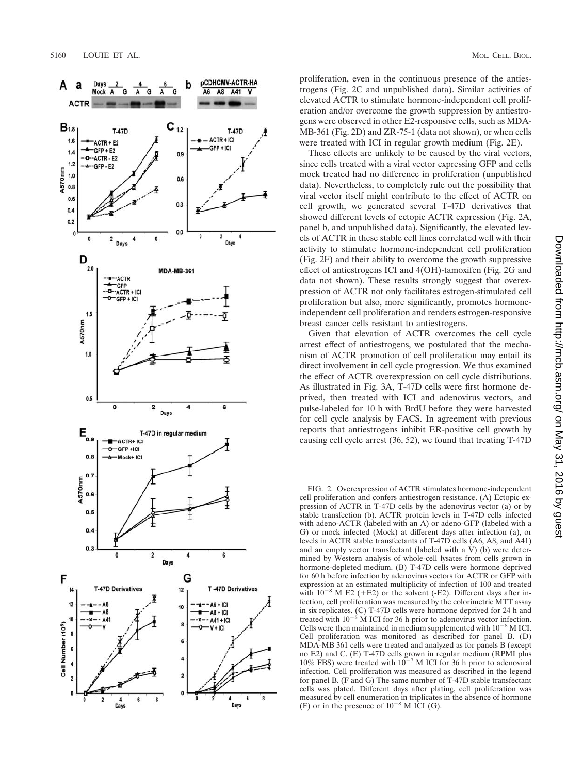

proliferation, even in the continuous presence of the antiestrogens (Fig. 2C and unpublished data). Similar activities of elevated ACTR to stimulate hormone-independent cell proliferation and/or overcome the growth suppression by antiestrogens were observed in other E2-responsive cells, such as MDA-MB-361 (Fig. 2D) and ZR-75-1 (data not shown), or when cells were treated with ICI in regular growth medium (Fig. 2E).

These effects are unlikely to be caused by the viral vectors, since cells treated with a viral vector expressing GFP and cells mock treated had no difference in proliferation (unpublished data). Nevertheless, to completely rule out the possibility that viral vector itself might contribute to the effect of ACTR on cell growth, we generated several T-47D derivatives that showed different levels of ectopic ACTR expression (Fig. 2A, panel b, and unpublished data). Signi ficantly, the elevated levels of ACTR in these stable cell lines correlated well with their activity to stimulate hormone-independent cell proliferation (Fig. 2F) and their ability to overcome the growth suppressive effect of antiestrogens ICI and 4(OH)-tamoxifen (Fig. 2G and data not shown). These results strongly suggest that overexpression of ACTR not only facilitates estrogen-stimulated cell proliferation but also, more signi ficantly, promotes hormoneindependent cell proliferation and renders estrogen-responsive breast cancer cells resistant to antiestrogens.

Given that elevation of ACTR overcomes the cell cycle arrest effect of antiestrogens, we postulated that the mechanism of ACTR promotion of cell proliferation may entail its direct involvement in cell cycle progression. We thus examined the effect of ACTR overexpression on cell cycle distributions. As illustrated in Fig. 3A, T-47D cells were first hormone deprived, then treated with ICI and adenovirus vectors, and pulse-labeled for 10 h with BrdU before they were harvested for cell cycle analysis by FACS. In agreement with previous reports that antiestrogens inhibit ER-positive cell growth by causing cell cycle arrest (36, 52), we found that treating T-47D

FIG. 2. Overexpression of ACTR stimulates hormone-independent cell proliferation and confers antiestrogen resistance. (A) Ectopic expression of ACTR in T-47D cells by the adenovirus vector (a) or by stable transfection (b). ACTR protein levels in T-47D cells infected with adeno-ACTR (labeled with an A) or adeno-GFP (labeled with a G) or mock infected (Mock) at different days after infection (a), or levels in ACTR stable transfectants of T-47D cells (A6, A8, and A41) and an empty vector transfectant (labeled with a V) (b) were determined by Western analysis of whole-cell lysates from cells grown in hormone-depleted medium. (B) T-47D cells were hormone deprived for 60 h before infection by adenovirus vectors for ACTR or GFP with expression at an estimated multiplicity of infection of 100 and treated with  $10^{-8}$  M E2 (+E2) or the solvent (-E2). Different days after infection, cell proliferation was measured by the colorimetric MTT assay in six replicates. (C) T-47D cells were hormone deprived for 24 h and treated with  $10^{-8}$  M ICI for 36 h prior to adenovirus vector infection. Cells were then maintained in medium supplemented with  $10^{-8}$  M ICI. Cell proliferation was monitored as described for panel B. (D) MDA-MB 361 cells were treated and analyzed as for panels B (except no E2) and C. (E) T-47D cells grown in regular medium (RPMI plus 10% FBS) were treated with  $10^{-7}$  M ICI for 36 h prior to adenoviral infection. Cell proliferation was measured as described in the legend for panel B. (F and G) The same number of T-47D stable transfectant cells was plated. Different days after plating, cell proliferation was measured by cell enumeration in triplicates in the absence of hormone (F) or in the presence of  $10^{-8}$  M ICI (G).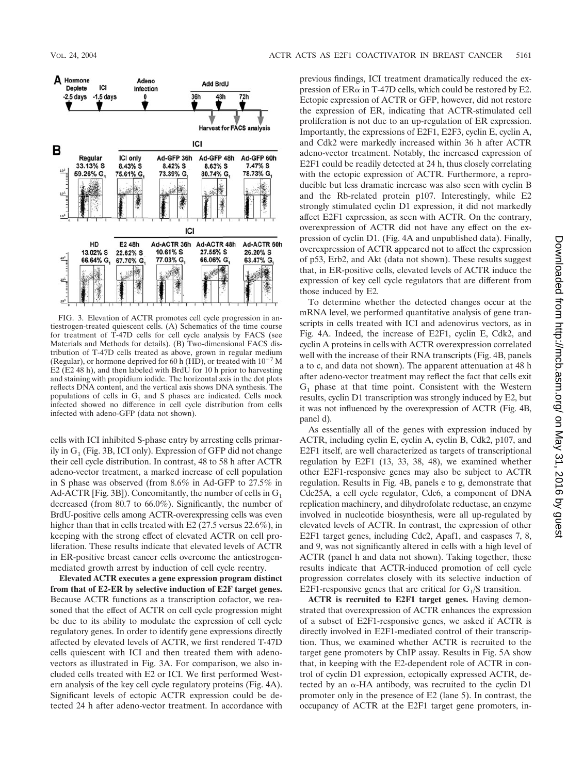

FIG. 3. Elevation of ACTR promotes cell cycle progression in antiestrogen-treated quiescent cells. (A) Schematics of the time course for treatment of T-47D cells for cell cycle analysis by FACS (see Materials and Methods for details). (B) Two-dimensional FACS distribution of T-47D cells treated as above, grown in regular medium (Regular), or hormone deprived for 60 h (HD), or treated with  $10^{-7}$  M E2 (E2 48 h), and then labeled with BrdU for 10 h prior to harvesting and staining with propidium iodide. The horizontal axis in the dot plots reflects DNA content, and the vertical axis shows DNA synthesis. The populations of cells in  $G_1$  and S phases are indicated. Cells mock infected showed no difference in cell cycle distribution from cells infected with adeno-GFP (data not shown).

cells with ICI inhibited S-phase entry by arresting cells primarily in  $G<sub>1</sub>$  (Fig. 3B, ICI only). Expression of GFP did not change their cell cycle distribution. In contrast, 48 to 58 h after ACTR adeno-vector treatment, a marked increase of cell population in S phase was observed (from 8.6% in Ad-GFP to 27.5% in Ad-ACTR [Fig. 3B]). Concomitantly, the number of cells in  $G_1$ decreased (from 80.7 to 66.0%). Significantly, the number of BrdU-positive cells among ACTR-overexpressing cells was even higher than that in cells treated with E2 (27.5 versus 22.6%), in keeping with the strong effect of elevated ACTR on cell proliferation. These results indicate that elevated levels of ACTR in ER-positive breast cancer cells overcome the antiestrogenmediated growth arrest by induction of cell cycle reentry.

**Elevated ACTR executes a gene expression program distinct from that of E2-ER by selective induction of E2F target genes.** Because ACTR functions as a transcription cofactor, we reasoned that the effect of ACTR on cell cycle progression might be due to its ability to modulate the expression of cell cycle regulatory genes. In order to identify gene expressions directly affected by elevated levels of ACTR, we first rendered T-47D cells quiescent with ICI and then treated them with adenovectors as illustrated in Fig. 3A. For comparison, we also included cells treated with E2 or ICI. We first performed Western analysis of the key cell cycle regulatory proteins (Fig. 4A). Significant levels of ectopic ACTR expression could be detected 24 h after adeno-vector treatment. In accordance with

previous findings, ICI treatment dramatically reduced the expression of  $ER\alpha$  in T-47D cells, which could be restored by E2. Ectopic expression of ACTR or GFP, however, did not restore the expression of ER, indicating that ACTR-stimulated cell proliferation is not due to an up-regulation of ER expression. Importantly, the expressions of E2F1, E2F3, cyclin E, cyclin A, and Cdk2 were markedly increased within 36 h after ACTR adeno-vector treatment. Notably, the increased expression of E2F1 could be readily detected at 24 h, thus closely correlating with the ectopic expression of ACTR. Furthermore, a reproducible but less dramatic increase was also seen with cyclin B and the Rb-related protein p107. Interestingly, while E2 strongly stimulated cyclin D1 expression, it did not markedly affect E2F1 expression, as seen with ACTR. On the contrary, overexpression of ACTR did not have any effect on the expression of cyclin D1. (Fig. 4A and unpublished data). Finally, overexpression of ACTR appeared not to affect the expression of p53, Erb2, and Akt (data not shown). These results suggest that, in ER-positive cells, elevated levels of ACTR induce the expression of key cell cycle regulators that are different from those induced by E2.

To determine whether the detected changes occur at the mRNA level, we performed quantitative analysis of gene transcripts in cells treated with ICI and adenovirus vectors, as in Fig. 4A. Indeed, the increase of E2F1, cyclin E, Cdk2, and cyclin A proteins in cells with ACTR overexpression correlated well with the increase of their RNA transcripts (Fig. 4B, panels a to c, and data not shown). The apparent attenuation at 48 h after adeno-vector treatment may reflect the fact that cells exit  $G_1$  phase at that time point. Consistent with the Western results, cyclin D1 transcription was strongly induced by E2, but it was not influenced by the overexpression of ACTR (Fig. 4B, panel d).

As essentially all of the genes with expression induced by ACTR, including cyclin E, cyclin A, cyclin B, Cdk2, p107, and E2F1 itself, are well characterized as targets of transcriptional regulation by E2F1 (13, 33, 38, 48), we examined whether other E2F1-responsive genes may also be subject to ACTR regulation. Results in Fig. 4B, panels e to g, demonstrate that Cdc25A, a cell cycle regulator, Cdc6, a component of DNA replication machinery, and dihydrofolate reductase, an enzyme involved in nucleotide biosynthesis, were all up-regulated by elevated levels of ACTR. In contrast, the expression of other E2F1 target genes, including Cdc2, Apaf1, and caspases 7, 8, and 9, was not significantly altered in cells with a high level of ACTR (panel h and data not shown). Taking together, these results indicate that ACTR-induced promotion of cell cycle progression correlates closely with its selective induction of E2F1-responsive genes that are critical for  $G_1/S$  transition.

**ACTR is recruited to E2F1 target genes.** Having demonstrated that overexpression of ACTR enhances the expression of a subset of E2F1-responsive genes, we asked if ACTR is directly involved in E2F1-mediated control of their transcription. Thus, we examined whether ACTR is recruited to the target gene promoters by ChIP assay. Results in Fig. 5A show that, in keeping with the E2-dependent role of ACTR in control of cyclin D1 expression, ectopically expressed ACTR, detected by an  $\alpha$ -HA antibody, was recruited to the cyclin D1 promoter only in the presence of E2 (lane 5). In contrast, the occupancy of ACTR at the E2F1 target gene promoters, in-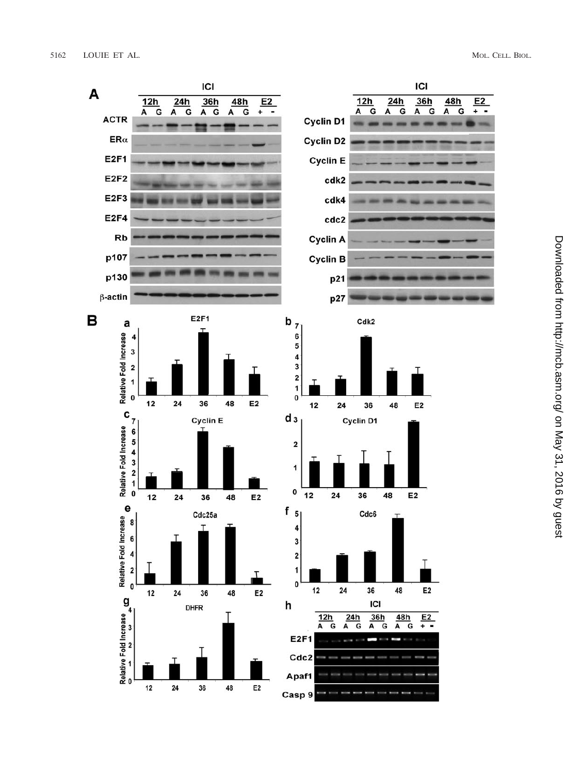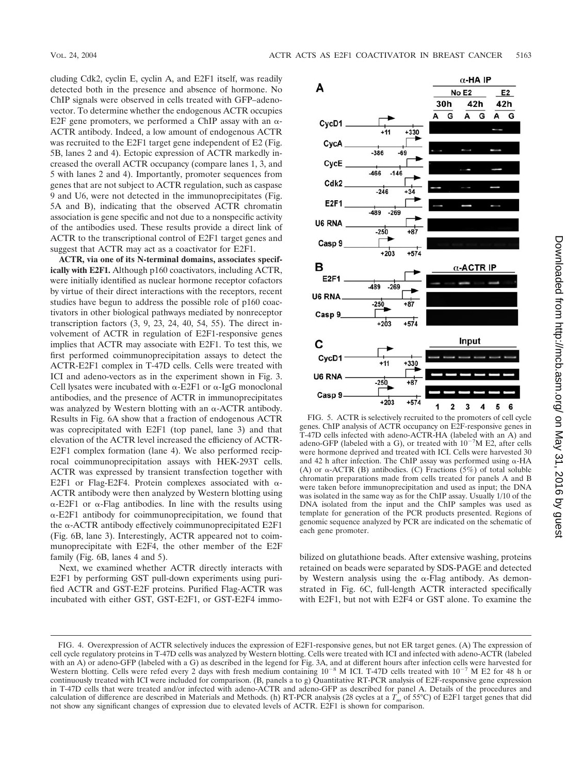cluding Cdk2, cyclin E, cyclin A, and E2F1 itself, was readily detected both in the presence and absence of hormone. No ChIP signals were observed in cells treated with GFP–adenovector. To determine whether the endogenous ACTR occupies E2F gene promoters, we performed a ChIP assay with an  $\alpha$ -ACTR antibody. Indeed, a low amount of endogenous ACTR was recruited to the E2F1 target gene independent of E2 (Fig. 5B, lanes 2 and 4). Ectopic expression of ACTR markedly increased the overall ACTR occupancy (compare lanes 1, 3, and 5 with lanes 2 and 4). Importantly, promoter sequences from genes that are not subject to ACTR regulation, such as caspase 9 and U6, were not detected in the immunoprecipitates (Fig. 5A and B), indicating that the observed ACTR chromatin association is gene specific and not due to a nonspecific activity of the antibodies used. These results provide a direct link of ACTR to the transcriptional control of E2F1 target genes and suggest that ACTR may act as a coactivator for E2F1.

**ACTR, via one of its N-terminal domains, associates specifically with E2F1.** Although p160 coactivators, including ACTR, were initially identified as nuclear hormone receptor cofactors by virtue of their direct interactions with the receptors, recent studies have begun to address the possible role of p160 coactivators in other biological pathways mediated by nonreceptor transcription factors (3, 9, 23, 24, 40, 54, 55). The direct involvement of ACTR in regulation of E2F1-responsive genes implies that ACTR may associate with E2F1. To test this, we first performed coimmunoprecipitation assays to detect the ACTR-E2F1 complex in T-47D cells. Cells were treated with ICI and adeno-vectors as in the experiment shown in Fig. 3. Cell lysates were incubated with  $\alpha$ -E2F1 or  $\alpha$ -IgG monoclonal antibodies, and the presence of ACTR in immunoprecipitates was analyzed by Western blotting with an  $\alpha$ -ACTR antibody. Results in Fig. 6A show that a fraction of endogenous ACTR was coprecipitated with E2F1 (top panel, lane 3) and that elevation of the ACTR level increased the efficiency of ACTR-E2F1 complex formation (lane 4). We also performed reciprocal coimmunoprecipitation assays with HEK-293T cells. ACTR was expressed by transient transfection together with E2F1 or Flag-E2F4. Protein complexes associated with  $\alpha$ -ACTR antibody were then analyzed by Western blotting using  $\alpha$ -E2F1 or  $\alpha$ -Flag antibodies. In line with the results using  $\alpha$ -E2F1 antibody for coimmunoprecipitation, we found that the  $\alpha$ -ACTR antibody effectively coimmunoprecipitated E2F1 (Fig. 6B, lane 3). Interestingly, ACTR appeared not to coimmunoprecipitate with E2F4, the other member of the E2F family (Fig. 6B, lanes 4 and 5).

Next, we examined whether ACTR directly interacts with E2F1 by performing GST pull-down experiments using purified ACTR and GST-E2F proteins. Purified Flag-ACTR was incubated with either GST, GST-E2F1, or GST-E2F4 immo-



FIG. 5. ACTR is selectively recruited to the promoters of cell cycle genes. ChIP analysis of ACTR occupancy on E2F-responsive genes in T-47D cells infected with adeno-ACTR-HA (labeled with an A) and adeno-GFP (labeled with a G), or treated with  $10^{-7}M$  E2, after cells were hormone deprived and treated with ICI. Cells were harvested 30 and 42 h after infection. The ChIP assay was performed using  $\alpha$ -HA (A) or  $\alpha$ -ACTR (B) antibodies. (C) Fractions (5%) of total soluble chromatin preparations made from cells treated for panels A and B were taken before immunoprecipitation and used as input; the DNA was isolated in the same way as for the ChIP assay. Usually 1/10 of the DNA isolated from the input and the ChIP samples was used as template for generation of the PCR products presented. Regions of genomic sequence analyzed by PCR are indicated on the schematic of each gene promoter.

bilized on glutathione beads. After extensive washing, proteins retained on beads were separated by SDS-PAGE and detected by Western analysis using the  $\alpha$ -Flag antibody. As demonstrated in Fig. 6C, full-length ACTR interacted specifically with E2F1, but not with E2F4 or GST alone. To examine the

FIG. 4. Overexpression of ACTR selectively induces the expression of E2F1-responsive genes, but not ER target genes. (A) The expression of cell cycle regulatory proteins in T-47D cells was analyzed by Western blotting. Cells were treated with ICI and infected with adeno-ACTR (labeled with an A) or adeno-GFP (labeled with a G) as described in the legend for Fig. 3A, and at different hours after infection cells were harvested for Western blotting. Cells were refed every 2 days with fresh medium containing  $10^{-8}$  M ICI. T-47D cells treated with  $10^{-7}$  M E2 for 48 h or continuously treated with ICI were included for comparison. (B, panels a to g) Quantitative RT-PCR analysis of E2F-responsive gene expression in T-47D cells that were treated and/or infected with adeno-ACTR and adeno-GFP as described for panel A. Details of the procedures and calculation of difference are described in Materials and Methods. (h) RT-PCR analysis (28 cycles at a  $T_m$  of 55°C) of E2F1 target genes that did not show any significant changes of expression due to elevated levels of ACTR. E2F1 is shown for comparison.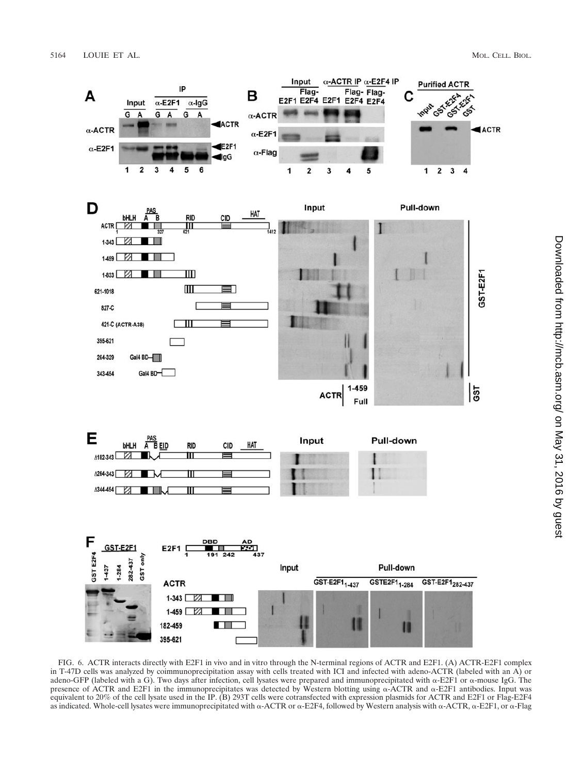

FIG. 6. ACTR interacts directly with E2F1 in vivo and in vitro through the N-terminal regions of ACTR and E2F1. (A) ACTR-E2F1 complex in T-47D cells was analyzed by coimmunoprecipitation assay with cells treated with ICI and infected with adeno-ACTR (labeled with an A) or adeno-GFP (labeled with a G). Two days after infection, cell lysates were prepared and immunoprecipitated with  $\alpha$ -E2F1 or  $\alpha$ -mouse IgG. The presence of ACTR and E2F1 in the immunoprecipitates was detected by Western blotting using  $\alpha$ -ACTR and  $\alpha$ -E2F1 antibodies. Input was equivalent to 20% of the cell lysate used in the IP. (B) 293T cells were cotransfected with expression plasmids for ACTR and E2F1 or Flag-E2F4 as indicated. Whole-cell lysates were immunoprecipitated with  $\alpha$ -ACTR or  $\alpha$ -E2F4, followed by Western analysis with  $\alpha$ -ACTR,  $\alpha$ -E2F1, or  $\alpha$ -Flag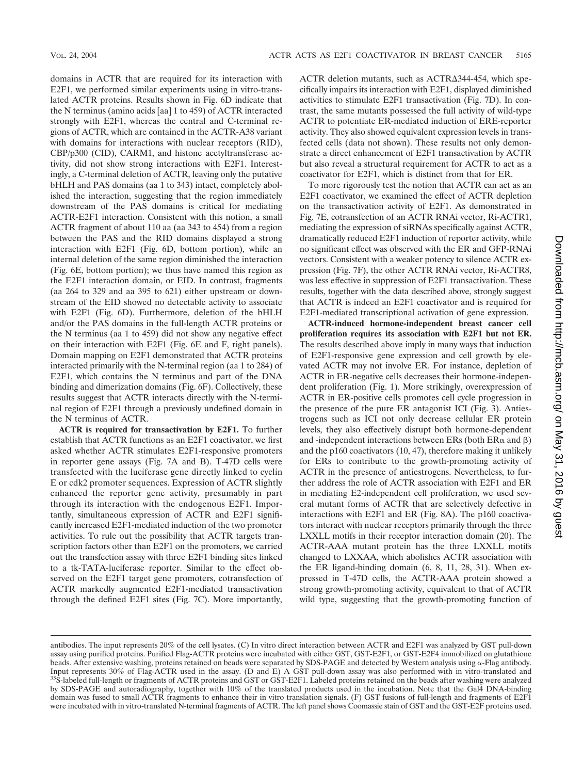domains in ACTR that are required for its interaction with E2F1, we performed similar experiments using in vitro-translated ACTR proteins. Results shown in Fig. 6D indicate that the N terminus (amino acids [aa] 1 to 459) of ACTR interacted strongly with E2F1, whereas the central and C-terminal regions of ACTR, which are contained in the ACTR-A38 variant with domains for interactions with nuclear receptors (RID), CBP/p300 (CID), CARM1, and histone acetyltransferase activity, did not show strong interactions with E2F1. Interestingly, a C-terminal deletion of ACTR, leaving only the putative bHLH and PAS domains (aa 1 to 343) intact, completely abolished the interaction, suggesting that the region immediately downstream of the PAS domains is critical for mediating ACTR-E2F1 interaction. Consistent with this notion, a small ACTR fragment of about 110 aa (aa 343 to 454) from a region between the PAS and the RID domains displayed a strong interaction with E2F1 (Fig. 6D, bottom portion), while an internal deletion of the same region diminished the interaction (Fig. 6E, bottom portion); we thus have named this region as the E2F1 interaction domain, or EID. In contrast, fragments (aa 264 to 329 and aa 395 to 621) either upstream or downstream of the EID showed no detectable activity to associate with E2F1 (Fig. 6D). Furthermore, deletion of the bHLH and/or the PAS domains in the full-length ACTR proteins or the N terminus (aa 1 to 459) did not show any negative effect on their interaction with E2F1 (Fig. 6E and F, right panels). Domain mapping on E2F1 demonstrated that ACTR proteins interacted primarily with the N-terminal region (aa 1 to 284) of E2F1, which contains the N terminus and part of the DNA binding and dimerization domains (Fig. 6F). Collectively, these results suggest that ACTR interacts directly with the N-terminal region of E2F1 through a previously undefined domain in the N terminus of ACTR.

**ACTR is required for transactivation by E2F1.** To further establish that ACTR functions as an E2F1 coactivator, we first asked whether ACTR stimulates E2F1-responsive promoters in reporter gene assays (Fig. 7A and B). T-47D cells were transfected with the luciferase gene directly linked to cyclin E or cdk2 promoter sequences. Expression of ACTR slightly enhanced the reporter gene activity, presumably in part through its interaction with the endogenous E2F1. Importantly, simultaneous expression of ACTR and E2F1 significantly increased E2F1-mediated induction of the two promoter activities. To rule out the possibility that ACTR targets transcription factors other than E2F1 on the promoters, we carried out the transfection assay with three E2F1 binding sites linked to a tk-TATA-luciferase reporter. Similar to the effect observed on the E2F1 target gene promoters, cotransfection of ACTR markedly augmented E2F1-mediated transactivation through the defined E2F1 sites (Fig. 7C). More importantly,

ACTR deletion mutants, such as  $ACTR\Delta_{344}$ -454, which specifically impairs its interaction with E2F1, displayed diminished activities to stimulate E2F1 transactivation (Fig. 7D). In contrast, the same mutants possessed the full activity of wild-type ACTR to potentiate ER-mediated induction of ERE-reporter activity. They also showed equivalent expression levels in transfected cells (data not shown). These results not only demonstrate a direct enhancement of E2F1 transactivation by ACTR but also reveal a structural requirement for ACTR to act as a coactivator for E2F1, which is distinct from that for ER.

To more rigorously test the notion that ACTR can act as an E2F1 coactivator, we examined the effect of ACTR depletion on the transactivation activity of E2F1. As demonstrated in Fig. 7E, cotransfection of an ACTR RNAi vector, Ri-ACTR1, mediating the expression of siRNAs specifically against ACTR, dramatically reduced E2F1 induction of reporter activity, while no significant effect was observed with the ER and GFP-RNAi vectors. Consistent with a weaker potency to silence ACTR expression (Fig. 7F), the other ACTR RNAi vector, Ri-ACTR8, was less effective in suppression of E2F1 transactivation. These results, together with the data described above, strongly suggest that ACTR is indeed an E2F1 coactivator and is required for E2F1-mediated transcriptional activation of gene expression.

**ACTR-induced hormone-independent breast cancer cell proliferation requires its association with E2F1 but not ER.** The results described above imply in many ways that induction of E2F1-responsive gene expression and cell growth by elevated ACTR may not involve ER. For instance, depletion of ACTR in ER-negative cells decreases their hormone-independent proliferation (Fig. 1). More strikingly, overexpression of ACTR in ER-positive cells promotes cell cycle progression in the presence of the pure ER antagonist ICI (Fig. 3). Antiestrogens such as ICI not only decrease cellular ER protein levels, they also effectively disrupt both hormone-dependent and -independent interactions between ERs (both  $ER\alpha$  and  $\beta$ ) and the p160 coactivators (10, 47), therefore making it unlikely for ERs to contribute to the growth-promoting activity of ACTR in the presence of antiestrogens. Nevertheless, to further address the role of ACTR association with E2F1 and ER in mediating E2-independent cell proliferation, we used several mutant forms of ACTR that are selectively defective in interactions with E2F1 and ER (Fig. 8A). The p160 coactivators interact with nuclear receptors primarily through the three LXXLL motifs in their receptor interaction domain (20). The ACTR-AAA mutant protein has the three LXXLL motifs changed to LXXAA, which abolishes ACTR association with the ER ligand-binding domain (6, 8, 11, 28, 31). When expressed in T-47D cells, the ACTR-AAA protein showed a strong growth-promoting activity, equivalent to that of ACTR wild type, suggesting that the growth-promoting function of

antibodies. The input represents 20% of the cell lysates. (C) In vitro direct interaction between ACTR and E2F1 was analyzed by GST pull-down assay using purified proteins. Purified Flag-ACTR proteins were incubated with either GST, GST-E2F1, or GST-E2F4 immobilized on glutathione beads. After extensive washing, proteins retained on beads were separated by SDS-PAGE and detected by Western analysis using  $\alpha$ -Flag antibody. Input represents 30% of Flag-ACTR used in the assay. (D and E) A GST pull-down assay was also performed with in vitro-translated and <sup>35</sup>S-labeled full-length or fragments of ACTR proteins and GST or GST-E2F1. Labeled proteins retained on the beads after washing were analyzed by SDS-PAGE and autoradiography, together with 10% of the translated products used in the incubation. Note that the Gal4 DNA-binding domain was fused to small ACTR fragments to enhance their in vitro translation signals. (F) GST fusions of full-length and fragments of E2F1 were incubated with in vitro-translated N-terminal fragments of ACTR. The left panel shows Coomassie stain of GST and the GST-E2F proteins used.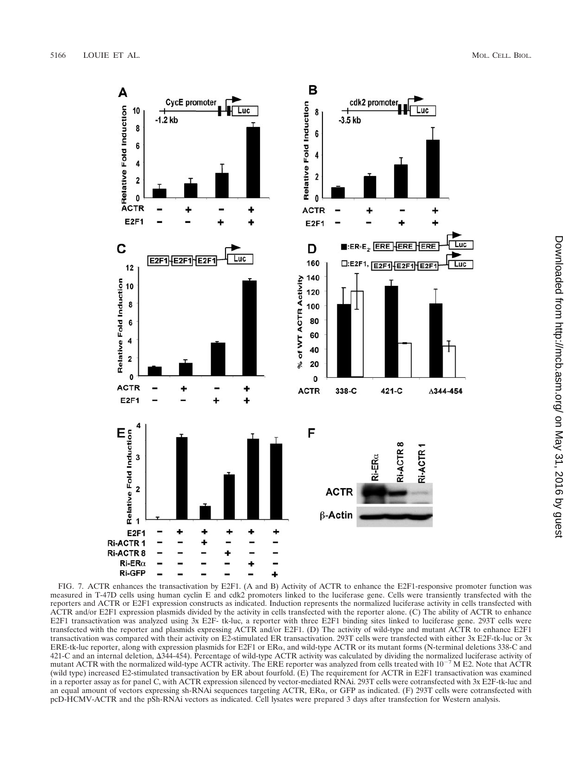

FIG. 7. ACTR enhances the transactivation by E2F1. (A and B) Activity of ACTR to enhance the E2F1-responsive promoter function was measured in T-47D cells using human cyclin E and cdk2 promoters linked to the luciferase gene. Cells were transiently transfected with the reporters and ACTR or E2F1 expression constructs as indicated. Induction represents the normalized luciferase activity in cells transfected with ACTR and/or E2F1 expression plasmids divided by the activity in cells transfected with the reporter alone. (C) The ability of ACTR to enhance E2F1 transactivation was analyzed using 3x E2F- tk-luc, a reporter with three E2F1 binding sites linked to luciferase gene. 293T cells were transfected with the reporter and plasmids expressing ACTR and/or E2F1. (D) The activity of wild-type and mutant ACTR to enhance E2F1 transactivation was compared with their activity on E2-stimulated ER transactivation. 293T cells were transfected with either 3x E2F-tk-luc or 3x ERE-tk-luc reporter, along with expression plasmids for E2F1 or ER<sub>a</sub>, and wild-type ACTR or its mutant forms (N-terminal deletions 338-C and 421-C and an internal deletion,  $\Delta$ 344-454). Percentage of wild-type ACTR activity was calculated by dividing the normalized luciferase activity of mutant ACTR with the normalized wild-type ACTR activity. The ERE reporter was analyzed from cells treated with  $10^{-7}$  M E2. Note that ACTR (wild type) increased E2-stimulated transactivation by ER about fourfold. (E) The requirement for ACTR in E2F1 transactivation was examined in a reporter assay as for panel C, with ACTR expression silenced by vector-mediated RNAi. 293T cells were cotransfected with 3x E2F-tk-luc and an equal amount of vectors expressing sh-RNAi sequences targeting ACTR, ER $\alpha$ , or GFP as indicated. (F) 293T cells were cotransfected with pcD-HCMV-ACTR and the pSh-RNAi vectors as indicated. Cell lysates were prepared 3 days after transfection for Western analysis.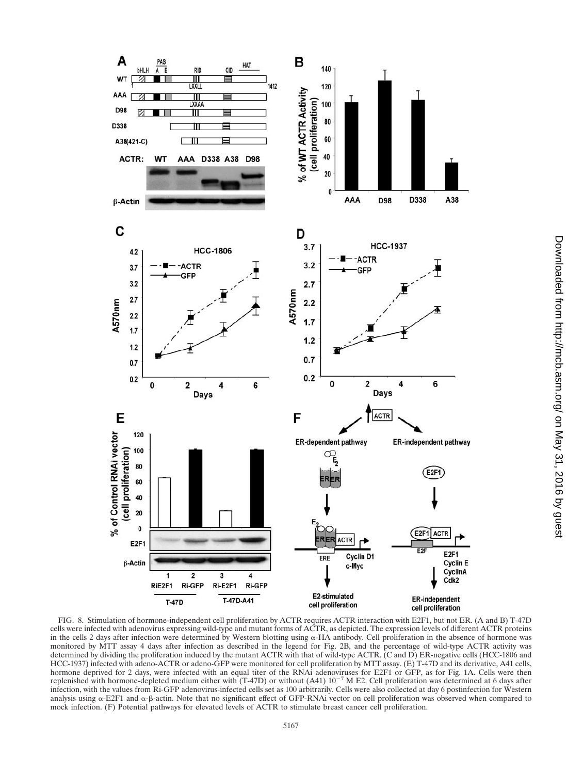

FIG. 8. Stimulation of hormone-independent cell proliferation by ACTR requires ACTR interaction with E2F1, but not ER. (A and B) T-47D cells were infected with adenovirus expressing wild-type and mutant forms of ACTR, as depicted. The expression levels of different ACTR proteins in the cells 2 days after infection were determined by Western blotting using  $\alpha$ -HA antibody. Cell proliferation in the absence of hormone was monitored by MTT assay 4 days after infection as described in the legend for Fig. 2B, and the percentage of wild-type ACTR activity was determined by dividing the proliferation induced by the mutant ACTR with that of wild-type ACTR. (C and D) ER-negative cells (HCC-1806 and HCC-1937) infected with adeno-ACTR or adeno-GFP were monitored for cell proliferation by MTT assay. (E) T-47D and its derivative, A41 cells, hormone deprived for 2 days, were infected with an equal titer of the RNAi adenoviruses for E2F1 or GFP, as for Fig. 1A. Cells were then replenished with hormone-depleted medium either with (T-47D) or without (A41)  $10^{-7}$  M E2. Cell proliferation was determined at 6 days after infection, with the values from Ri-GFP adenovirus-infected cells set as 100 arbitrarily. Cells were also collected at day 6 postinfection for Western analysis using  $\alpha$ -E2F1 and  $\alpha$ - $\beta$ -actin. Note that no significant effect of GFP-RNAi vector on cell proliferation was observed when compared to mock infection. (F) Potential pathways for elevated levels of ACTR to stimulate breast cancer cell proliferation.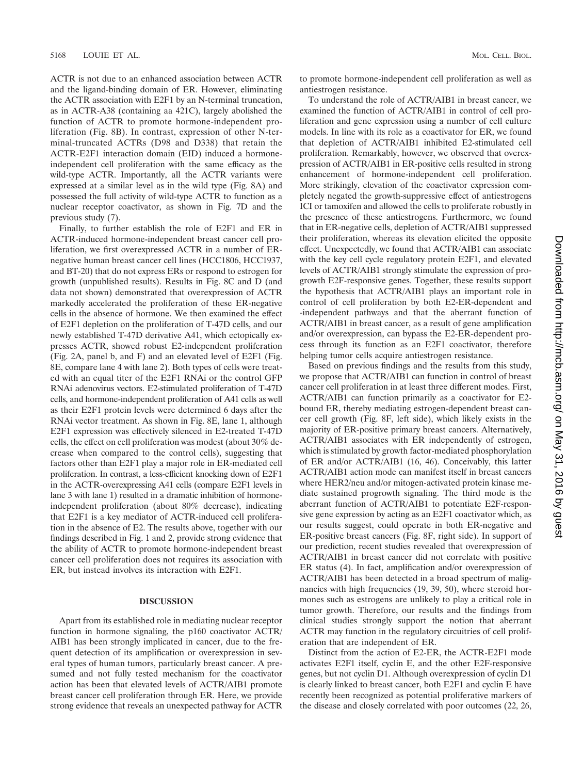ACTR is not due to an enhanced association between ACTR and the ligand-binding domain of ER. However, eliminating the ACTR association with E2F1 by an N-terminal truncation, as in ACTR-A38 (containing aa 421C), largely abolished the function of ACTR to promote hormone-independent proliferation (Fig. 8B). In contrast, expression of other N-terminal-truncated ACTRs (D98 and D338) that retain the ACTR-E2F1 interaction domain (EID) induced a hormoneindependent cell proliferation with the same efficacy as the wild-type ACTR. Importantly, all the ACTR variants were expressed at a similar level as in the wild type (Fig. 8A) and possessed the full activity of wild-type ACTR to function as a nuclear receptor coactivator, as shown in Fig. 7D and the previous study (7).

Finally, to further establish the role of E2F1 and ER in ACTR-induced hormone-independent breast cancer cell proliferation, we first overexpressed ACTR in a number of ERnegative human breast cancer cell lines (HCC1806, HCC1937, and BT-20) that do not express ERs or respond to estrogen for growth (unpublished results). Results in Fig. 8C and D (and data not shown) demonstrated that overexpression of ACTR markedly accelerated the proliferation of these ER-negative cells in the absence of hormone. We then examined the effect of E2F1 depletion on the proliferation of T-47D cells, and our newly established T-47D derivative A41, which ectopically expresses ACTR, showed robust E2-independent proliferation (Fig. 2A, panel b, and F) and an elevated level of E2F1 (Fig. 8E, compare lane 4 with lane 2). Both types of cells were treated with an equal titer of the E2F1 RNAi or the control GFP RNAi adenovirus vectors. E2-stimulated proliferation of T-47D cells, and hormone-independent proliferation of A41 cells as well as their E2F1 protein levels were determined 6 days after the RNAi vector treatment. As shown in Fig. 8E, lane 1, although E2F1 expression was effectively silenced in E2-treated T-47D cells, the effect on cell proliferation was modest (about 30% decrease when compared to the control cells), suggesting that factors other than E2F1 play a major role in ER-mediated cell proliferation. In contrast, a less-efficient knocking down of E2F1 in the ACTR-overexpressing A41 cells (compare E2F1 levels in lane 3 with lane 1) resulted in a dramatic inhibition of hormoneindependent proliferation (about 80% decrease), indicating that E2F1 is a key mediator of ACTR-induced cell proliferation in the absence of E2. The results above, together with our findings described in Fig. 1 and 2, provide strong evidence that the ability of ACTR to promote hormone-independent breast cancer cell proliferation does not requires its association with ER, but instead involves its interaction with E2F1.

#### **DISCUSSION**

Apart from its established role in mediating nuclear receptor function in hormone signaling, the p160 coactivator ACTR/ AIB1 has been strongly implicated in cancer, due to the frequent detection of its amplification or overexpression in several types of human tumors, particularly breast cancer. A presumed and not fully tested mechanism for the coactivator action has been that elevated levels of ACTR/AIB1 promote breast cancer cell proliferation through ER. Here, we provide strong evidence that reveals an unexpected pathway for ACTR

to promote hormone-independent cell proliferation as well as antiestrogen resistance.

To understand the role of ACTR/AIB1 in breast cancer, we examined the function of ACTR/AIB1 in control of cell proliferation and gene expression using a number of cell culture models. In line with its role as a coactivator for ER, we found that depletion of ACTR/AIB1 inhibited E2-stimulated cell proliferation. Remarkably, however, we observed that overexpression of ACTR/AIB1 in ER-positive cells resulted in strong enhancement of hormone-independent cell proliferation. More strikingly, elevation of the coactivator expression completely negated the growth-suppressive effect of antiestrogens ICI or tamoxifen and allowed the cells to proliferate robustly in the presence of these antiestrogens. Furthermore, we found that in ER-negative cells, depletion of ACTR/AIB1 suppressed their proliferation, whereas its elevation elicited the opposite effect. Unexpectedly, we found that ACTR/AIB1 can associate with the key cell cycle regulatory protein E2F1, and elevated levels of ACTR/AIB1 strongly stimulate the expression of progrowth E2F-responsive genes. Together, these results support the hypothesis that ACTR/AIB1 plays an important role in control of cell proliferation by both E2-ER-dependent and -independent pathways and that the aberrant function of ACTR/AIB1 in breast cancer, as a result of gene amplification and/or overexpression, can bypass the E2-ER-dependent process through its function as an E2F1 coactivator, therefore helping tumor cells acquire antiestrogen resistance.

Based on previous findings and the results from this study, we propose that ACTR/AIB1 can function in control of breast cancer cell proliferation in at least three different modes. First, ACTR/AIB1 can function primarily as a coactivator for E2 bound ER, thereby mediating estrogen-dependent breast cancer cell growth (Fig. 8F, left side), which likely exists in the majority of ER-positive primary breast cancers. Alternatively, ACTR/AIB1 associates with ER independently of estrogen, which is stimulated by growth factor-mediated phosphorylation of ER and/or ACTR/AIB1 (16, 46). Conceivably, this latter ACTR/AIB1 action mode can manifest itself in breast cancers where HER2/neu and/or mitogen-activated protein kinase mediate sustained progrowth signaling. The third mode is the aberrant function of ACTR/AIB1 to potentiate E2F-responsive gene expression by acting as an E2F1 coactivator which, as our results suggest, could operate in both ER-negative and ER-positive breast cancers (Fig. 8F, right side). In support of our prediction, recent studies revealed that overexpression of ACTR/AIB1 in breast cancer did not correlate with positive ER status (4). In fact, amplification and/or overexpression of ACTR/AIB1 has been detected in a broad spectrum of malignancies with high frequencies (19, 39, 50), where steroid hormones such as estrogens are unlikely to play a critical role in tumor growth. Therefore, our results and the findings from clinical studies strongly support the notion that aberrant ACTR may function in the regulatory circuitries of cell proliferation that are independent of ER.

Distinct from the action of E2-ER, the ACTR-E2F1 mode activates E2F1 itself, cyclin E, and the other E2F-responsive genes, but not cyclin D1. Although overexpression of cyclin D1 is clearly linked to breast cancer, both E2F1 and cyclin E have recently been recognized as potential proliferative markers of the disease and closely correlated with poor outcomes (22, 26,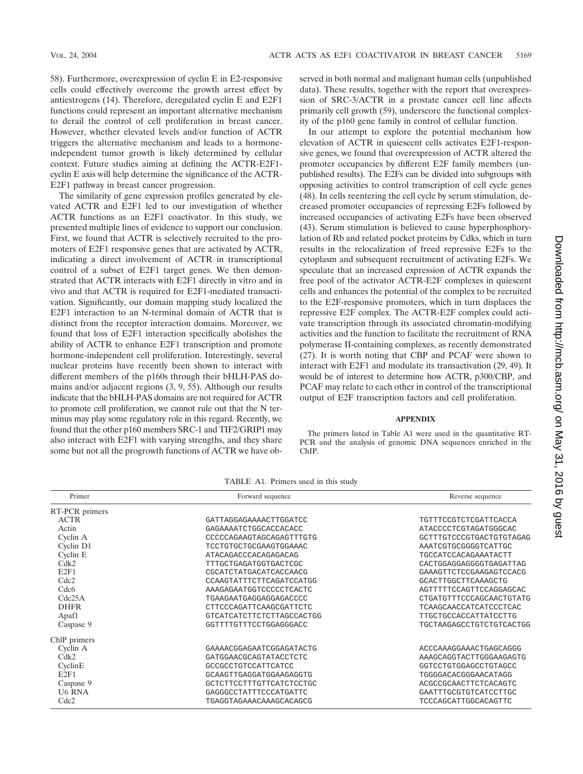58). Furthermore, overexpression of cyclin E in E2-responsive cells could effectively overcome the growth arrest effect by antiestrogens (14). Therefore, deregulated cyclin E and E2F1 functions could represent an important alternative mechanism to derail the control of cell proliferation in breast cancer. However, whether elevated levels and/or function of ACTR triggers the alternative mechanism and leads to a hormoneindependent tumor growth is likely determined by cellular context. Future studies aiming at defining the ACTR-E2F1 cyclin E axis will help determine the significance of the ACTR-E2F1 pathway in breast cancer progression.

The similarity of gene expression profiles generated by elevated ACTR and E2F1 led to our investigation of whether ACTR functions as an E2F1 coactivator. In this study, we presented multiple lines of evidence to support our conclusion. First, we found that ACTR is selectively recruited to the promoters of E2F1 responsive genes that are activated by ACTR, indicating a direct involvement of ACTR in transcriptional control of a subset of E2F1 target genes. We then demonstrated that ACTR interacts with E2F1 directly in vitro and in vivo and that ACTR is required for E2F1-mediated transactivation. Significantly, our domain mapping study localized the E2F1 interaction to an N-terminal domain of ACTR that is distinct from the receptor interaction domains. Moreover, we found that loss of E2F1 interaction specifically abolishes the ability of ACTR to enhance E2F1 transcription and promote hormone-independent cell proliferation. Interestingly, several nuclear proteins have recently been shown to interact with different members of the p160s through their bHLH-PAS domains and/or adjacent regions (3, 9, 55). Although our results indicate that the bHLH-PAS domains are not required for ACTR to promote cell proliferation, we cannot rule out that the N terminus may play some regulatory role in this regard. Recently, we found that the other p160 members SRC-1 and TIF2/GRIP1 may also interact with E2F1 with varying strengths, and they share some but not all the progrowth functions of ACTR we have observed in both normal and malignant human cells (unpublished data). These results, together with the report that overexpression of SRC-3/ACTR in a prostate cancer cell line affects primarily cell growth (59), underscore the functional complexity of the p160 gene family in control of cellular function.

In our attempt to explore the potential mechanism how elevation of ACTR in quiescent cells activates E2F1-responsive genes, we found that overexpression of ACTR altered the promoter occupancies by different E2F family members (unpublished results). The E2Fs can be divided into subgroups with opposing activities to control transcription of cell cycle genes (48). In cells reentering the cell cycle by serum stimulation, decreased promoter occupancies of repressing E2Fs followed by increased occupancies of activating E2Fs have been observed (43). Serum stimulation is believed to cause hyperphosphorylation of Rb and related pocket proteins by Cdks, which in turn results in the relocalization of freed repressive E2Fs to the cytoplasm and subsequent recruitment of activating E2Fs. We speculate that an increased expression of ACTR expands the free pool of the activator ACTR-E2F complexes in quiescent cells and enhances the potential of the complex to be recruited to the E2F-responsive promoters, which in turn displaces the repressive E2F complex. The ACTR-E2F complex could activate transcription through its associated chromatin-modifying activities and the function to facilitate the recruitment of RNA polymerase II-containing complexes, as recently demonstrated (27). It is worth noting that CBP and PCAF were shown to interact with E2F1 and modulate its transactivation (29, 49). It would be of interest to determine how ACTR, p300/CBP, and PCAF may relate to each other in control of the transcriptional output of E2F transcription factors and cell proliferation.

#### **APPENDIX**

The primers listed in Table A1 were used in the quantitative RT-PCR and the analysis of genomic DNA sequences enriched in the ChIP.

| Primer           | Forward sequence          | Reverse sequence         |
|------------------|---------------------------|--------------------------|
| RT-PCR primers   |                           |                          |
| <b>ACTR</b>      | GATTAGGAGAAAACTTGGATCC    | TGTTTCCGTCTCGATTCACCA    |
| Actin            | GAGAAAATCTGGCACCACACC     | ATACCCCTCGTAGATGGGCAC    |
| Cyclin A         | CCCCCAGAAGTAGCAGAGTTTGTG  | GCTTTGTCCCGTGACTGTGTAGAG |
| Cyclin D1        | TCCTGTGCTGCGAAGTGGAAAC    | AAATCGTGCGGGGTCATTGC     |
| Cyclin E         | ATACAGACCCACAGAGACAG      | TGCCATCCACAGAAATACTT     |
| Cdk2             | TTTGCTGAGATGGTGACTCGC     | CACTGGAGGAGGGGTGAGATTAG  |
| E2F1             | CGCATCTATGACATCACCAACG    | GAAAGTTCTCCGAAGAGTCCACG  |
| Cdc <sub>2</sub> | CCAAGTATTTCTTCAGATCCATGG  | GCACTTGGCTTCAAAGCTG      |
| Cdc <sub>6</sub> | AAAGAGAATGGTCCCCCTCACTC   | AGTTTTTCCAGTTCCAGGAGCAC  |
| Cdc25A           | TGAAGAATGAGGAGGAGACCCC    | CTGATGTTTCCCAGCAACTGTATG |
| <b>DHFR</b>      | CTTCCCAGATTCAAGCGATTCTC   | TCAAGCAACCATCATCCCTCAC   |
| Apaf1            | GTCATCATCTTCTCTTAGCCACTGG | TTGCTGCCACCATTATCCTTG    |
| Caspase 9        | GGTTTTGTTTCCTGGAGGGACC    | TGCTAAGAGCCTGTCTGTCACTGG |
| ChlP primers     |                           |                          |
| Cyclin A         | GAAAACGGAGAATCGGAGATACTG  | ACCCAAAGGAAACTGAGCAGGG   |
| Cdk2             | GATGGAACGCAGTATACCTCTC    | AAAGCAGGTACTTGGGAAGAGTG  |
| CyclinE          | GCCGCCTGTCCATTCATCC       | GGTCCTGTGGAGCCTGTAGCC    |
| E2F1             | GCAAGTTGAGGATGGAAGAGGTG   | TGGGGACACGGGAACATAGG     |
| Caspase 9        | GCTCTTCCTTTGTTCATCTCCTGC  | ACGCCGCAACTTCTCACAGTC    |
| <b>U6 RNA</b>    | GAGGGCCTATTTCCCATGATTC    | GAATTTGCGTGTCATCCTTGC    |
| Cdc2             | TGAGGTAGAAACAAAGCACAGCG   | TCCCAGCATTGGCACAGTTC     |

TABLE A1. Primers used in this study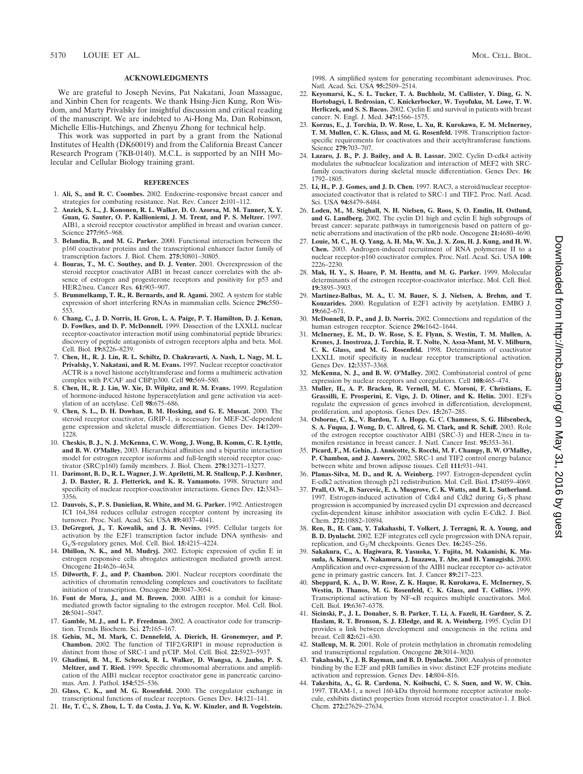#### **ACKNOWLEDGMENTS**

We are grateful to Joseph Nevins, Pat Nakatani, Joan Massague, and Xinbin Chen for reagents. We thank Hsing-Jien Kung, Ron Wisdom, and Marty Privalsky for insightful discussion and critical reading of the manuscript. We are indebted to Ai-Hong Ma, Dan Robinson, Michelle Ellis-Hutchings, and Zhenyu Zhong for technical help.

This work was supported in part by a grant from the National Institutes of Health (DK60019) and from the California Breast Cancer Research Program (7KB-0140). M.C.L. is supported by an NIH Molecular and Cellular Biology training grant.

#### **REFERENCES**

- 1. **Ali, S., and R. C. Coombes.** 2002. Endocrine-responsive breast cancer and strategies for combating resistance. Nat. Rev. Cancer **2:**101–112.
- 2. **Anzick, S. L., J. Kononen, R. L. Walker, D. O. Azorsa, M. M. Tanner, X. Y. Guan, G. Sauter, O. P. Kallioniemi, J. M. Trent, and P. S. Meltzer.** 1997. AIB1, a steroid receptor coactivator amplified in breast and ovarian cancer. Science **277:**965–968.
- 3. **Belandia, B., and M. G. Parker.** 2000. Functional interaction between the p160 coactivator proteins and the transcriptional enhancer factor family of transcription factors. J. Biol. Chem. **275:**30801–30805.
- 4. **Bouras, T., M. C. Southey, and D. J. Venter.** 2001. Overexpression of the steroid receptor coactivator AIB1 in breast cancer correlates with the absence of estrogen and progesterone receptors and positivity for p53 and HER2/neu. Cancer Res. **61:**903–907.
- 5. **Brummelkamp, T. R., R. Bernards, and R. Agami.** 2002. A system for stable expression of short interfering RNAs in mammalian cells. Science **296:**550– 553.
- 6. **Chang, C., J. D. Norris, H. Gron, L. A. Paige, P. T. Hamilton, D. J. Kenan, D. Fowlkes, and D. P. McDonnell.** 1999. Dissection of the LXXLL nuclear receptor-coactivator interaction motif using combinatorial peptide libraries: discovery of peptide antagonists of estrogen receptors alpha and beta. Mol. Cell. Biol. **19:**8226–8239.
- 7. **Chen, H., R. J. Lin, R. L. Schiltz, D. Chakravarti, A. Nash, L. Nagy, M. L. Privalsky, Y. Nakatani, and R. M. Evans.** 1997. Nuclear receptor coactivator ACTR is a novel histone acetyltransferase and forms a multimeric activation complex with P/CAF and CBP/p300. Cell **90:**569–580.
- 8. **Chen, H., R. J. Lin, W. Xie, D. Wilpitz, and R. M. Evans.** 1999. Regulation of hormone-induced histone hyperacetylation and gene activation via acetylation of an acetylase. Cell **98:**675–686.
- 9. **Chen, S. L., D. H. Dowhan, B. M. Hosking, and G. E. Muscat.** 2000. The steroid receptor coactivator, GRIP-1, is necessary for MEF-2C-dependent gene expression and skeletal muscle differentiation. Genes Dev. **14:**1209– 1228.
- 10. **Cheskis, B. J., N. J. McKenna, C. W. Wong, J. Wong, B. Komm, C. R. Lyttle, and B. W. O'Malley.** 2003. Hierarchical affinities and a bipartite interaction model for estrogen receptor isoforms and full-length steroid receptor coactivator (SRC/p160) family members. J. Biol. Chem. **278:**13271–13277.
- 11. **Darimont, B. D., R. L. Wagner, J. W. Apriletti, M. R. Stallcup, P. J. Kushner, J. D. Baxter, R. J. Fletterick, and K. R. Yamamoto.** 1998. Structure and specificity of nuclear receptor-coactivator interactions. Genes Dev. **12:**3343– 3356.
- 12. **Dauvois, S., P. S. Danielian, R. White, and M. G. Parker.** 1992. Antiestrogen ICI 164,384 reduces cellular estrogen receptor content by increasing its turnover. Proc. Natl. Acad. Sci. USA **89:**4037–4041.
- 13. **DeGregori, J., T. Kowalik, and J. R. Nevins.** 1995. Cellular targets for activation by the E2F1 transcription factor include DNA synthesis- and G1/S-regulatory genes. Mol. Cell. Biol. **15:**4215–4224.
- 14. **Dhillon, N. K., and M. Mudryj.** 2002. Ectopic expression of cyclin E in estrogen responsive cells abrogates antiestrogen mediated growth arrest. Oncogene **21:**4626–4634.
- 15. **Dilworth, F. J., and P. Chambon.** 2001. Nuclear receptors coordinate the activities of chromatin remodeling complexes and coactivators to facilitate initiation of transcription. Oncogene **20:**3047–3054.
- 16. **Font de Mora, J., and M. Brown.** 2000. AIB1 is a conduit for kinasemediated growth factor signaling to the estrogen receptor. Mol. Cell. Biol. **20:**5041–5047.
- 17. **Gamble, M. J., and L. P. Freedman.** 2002. A coactivator code for transcription. Trends Biochem. Sci. **27:**165–167.
- 18. **Gehin, M., M. Mark, C. Dennefeld, A. Dierich, H. Gronemeyer, and P. Chambon.** 2002. The function of TIF2/GRIP1 in mouse reproduction is distinct from those of SRC-1 and p/CIP. Mol. Cell. Biol. **22:**5923–5937.
- 19. **Ghadimi, B. M., E. Schrock, R. L. Walker, D. Wangsa, A. Jauho, P. S. Meltzer, and T. Ried.** 1999. Specific chromosomal aberrations and amplification of the AIB1 nuclear receptor coactivator gene in pancreatic carcinomas. Am. J. Pathol. **154:**525–536.
- 20. **Glass, C. K., and M. G. Rosenfeld.** 2000. The coregulator exchange in transcriptional functions of nuclear receptors. Genes Dev. **14:**121–141.
- 21. **He, T. C., S. Zhou, L. T. da Costa, J. Yu, K. W. Kinzler, and B. Vogelstein.**

1998. A simplified system for generating recombinant adenoviruses. Proc. Natl. Acad. Sci. USA **95:**2509–2514.

- 22. **Keyomarsi, K., S. L. Tucker, T. A. Buchholz, M. Callister, Y. Ding, G. N. Hortobagyi, I. Bedrosian, C. Knickerbocker, W. Toyofuku, M. Lowe, T. W. Herliczek, and S. S. Bacus.** 2002. Cyclin E and survival in patients with breast cancer. N. Engl. J. Med. **347:**1566–1575.
- 23. **Korzus, E., J. Torchia, D. W. Rose, L. Xu, R. Kurokawa, E. M. McInerney, T. M. Mullen, C. K. Glass, and M. G. Rosenfeld.** 1998. Transcription factorspecific requirements for coactivators and their acetyltransferase functions. Science **279:**703–707.
- 24. **Lazaro, J. B., P. J. Bailey, and A. B. Lassar.** 2002. Cyclin D-cdk4 activity modulates the subnuclear localization and interaction of MEF2 with SRCfamily coactivators during skeletal muscle differentiation. Genes Dev. **16:** 1792–1805.
- 25. **Li, H., P. J. Gomes, and J. D. Chen.** 1997. RAC3, a steroid/nuclear receptorassociated coactivator that is related to SRC-1 and TIF2. Proc. Natl. Acad. Sci. USA **94:**8479–8484.
- 26. **Loden, M., M. Stighall, N. H. Nielsen, G. Roos, S. O. Emdin, H. Ostlund, and G. Landberg.** 2002. The cyclin D1 high and cyclin E high subgroups of breast cancer: separate pathways in tumorigenesis based on pattern of genetic aberrations and inactivation of the pRb node. Oncogene **21:**4680–4690.
- 27. **Louie, M. C., H. Q. Yang, A. H. Ma, W. Xu, J. X. Zou, H. J. Kung, and H. W. Chen.** 2003. Androgen-induced recruitment of RNA polymerase II to a nuclear receptor-p160 coactivator complex. Proc. Natl. Acad. Sci. USA **100:** 2226–2230.
- 28. **Mak, H. Y., S. Hoare, P. M. Henttu, and M. G. Parker.** 1999. Molecular determinants of the estrogen receptor-coactivator interface. Mol. Cell. Biol. **19:**3895–3903.
- 29. **Martinez-Balbas, M. A., U. M. Bauer, S. J. Nielsen, A. Brehm, and T. Kouzarides.** 2000. Regulation of E2F1 activity by acetylation. EMBO J. **19:**662–671.
- 30. **McDonnell, D. P., and J. D. Norris.** 2002. Connections and regulation of the human estrogen receptor. Science **296:**1642–1644.
- 31. **McInerney, E. M., D. W. Rose, S. E. Flynn, S. Westin, T. M. Mullen, A. Krones, J. Inostroza, J. Torchia, R. T. Nolte, N. Assa-Munt, M. V. Milburn, C. K. Glass, and M. G. Rosenfeld.** 1998. Determinants of coactivator LXXLL motif specificity in nuclear receptor transcriptional activation. Genes Dev. **12:**3357–3368.
- 32. **McKenna, N. J., and B. W. O'Malley.** 2002. Combinatorial control of gene expression by nuclear receptors and coregulators. Cell **108:**465–474.
- 33. **Muller, H., A. P. Bracken, R. Vernell, M. C. Moroni, F. Christians, E. Grassilli, E. Prosperini, E. Vigo, J. D. Oliner, and K. Helin.** 2001. E2Fs regulate the expression of genes involved in differentiation, development, proliferation, and apoptosis. Genes Dev. **15:**267–285.
- 34. **Osborne, C. K., V. Bardou, T. A. Hopp, G. C. Chamness, S. G. Hilsenbeck, S. A. Fuqua, J. Wong, D. C. Allred, G. M. Clark, and R. Schiff.** 2003. Role of the estrogen receptor coactivator AIB1 (SRC-3) and HER-2/neu in tamoxifen resistance in breast cancer. J. Natl. Cancer Inst. **95:**353–361.
- 35. **Picard, F., M. Gehin, J. Annicotte, S. Rocchi, M. F. Champy, B. W. O'Malley, P. Chambon, and J. Auwerx.** 2002. SRC-1 and TIF2 control energy balance between white and brown adipose tissues. Cell **111:**931–941.
- 36. **Planas-Silva, M. D., and R. A. Weinberg.** 1997. Estrogen-dependent cyclin E-cdk2 activation through p21 redistribution. Mol. Cell. Biol. **17:**4059–4069.
- 37. **Prall, O. W., B. Sarcevic, E. A. Musgrove, C. K. Watts, and R. L. Sutherland.** 1997. Estrogen-induced activation of Cdk4 and Cdk2 during  $G_1$ -S phase progression is accompanied by increased cyclin D1 expression and decreased cyclin-dependent kinase inhibitor association with cyclin E-Cdk2. J. Biol. Chem. **272:**10882–10894.
- 38. **Ren, B., H. Cam, Y. Takahashi, T. Volkert, J. Terragni, R. A. Young, and B. D. Dynlacht.** 2002. E2F integrates cell cycle progression with DNA repair, replication, and G<sub>2</sub>/M checkpoints. Genes Dev. 16:245–256.
- 39. **Sakakura, C., A. Hagiwara, R. Yasuoka, Y. Fujita, M. Nakanishi, K. Masuda, A. Kimura, Y. Nakamura, J. Inazawa, T. Abe, and H. Yamagishi.** 2000. Amplification and over-expression of the AIB1 nuclear receptor co- activator gene in primary gastric cancers. Int. J. Cancer **89:**217–223.
- 40. **Sheppard, K. A., D. W. Rose, Z. K. Haque, R. Kurokawa, E. McInerney, S. Westin, D. Thanos, M. G. Rosenfeld, C. K. Glass, and T. Collins.** 1999. Transcriptional activation by NF- B requires multiple coactivators. Mol. Cell. Biol. **19:**6367–6378.
- 41. **Sicinski, P., J. L. Donaher, S. B. Parker, T. Li, A. Fazeli, H. Gardner, S. Z. Haslam, R. T. Bronson, S. J. Elledge, and R. A. Weinberg.** 1995. Cyclin D1 provides a link between development and oncogenesis in the retina and breast. Cell **82:**621–630.
- 42. **Stallcup, M. R.** 2001. Role of protein methylation in chromatin remodeling and transcriptional regulation. Oncogene **20:**3014–3020.
- 43. **Takahashi, Y., J. B. Rayman, and B. D. Dynlacht.** 2000. Analysis of promoter binding by the E2F and pRB families in vivo: distinct E2F proteins mediate activation and repression. Genes Dev. **14:**804–816.
- 44. **Takeshita, A., G. R. Cardona, N. Koibuchi, C. S. Suen, and W. W. Chin.** 1997. TRAM-1, a novel 160-kDa thyroid hormone receptor activator molecule, exhibits distinct properties from steroid receptor coactivator-1. J. Biol. Chem. **272:**27629–27634.